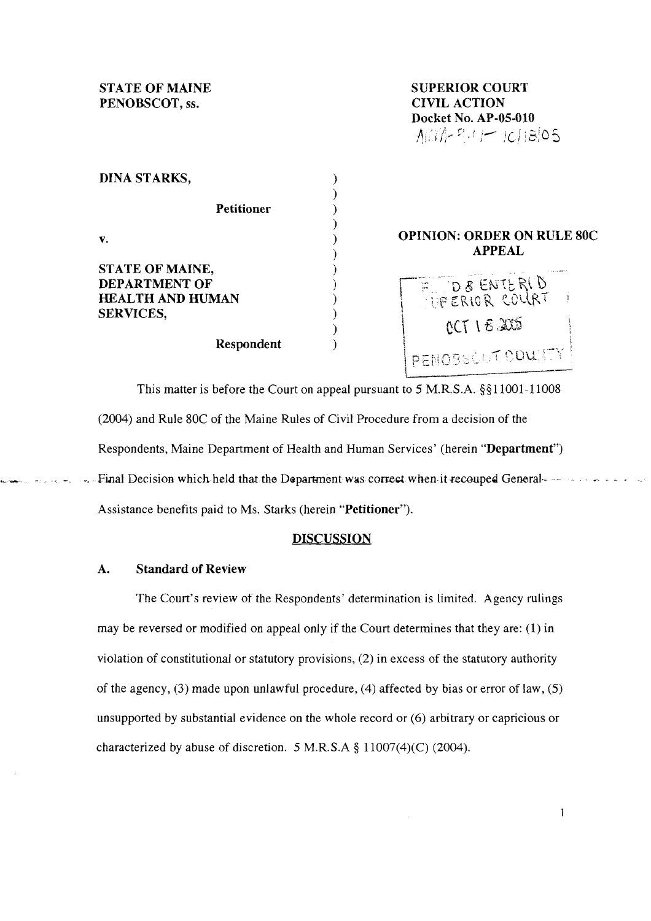**STATE OF MAINE PENOBSCOT, ss.** 

**SUPERIOR COURT CIVIL ACTION Docket No. AP-05-010**  Affine  $P: I \rightarrow |C|$  ;8,05

 $\mathbf{1}$ 

| <b>DINA STARKS,</b>                                                             |                                                    |
|---------------------------------------------------------------------------------|----------------------------------------------------|
| <b>Petitioner</b>                                                               |                                                    |
| V.                                                                              | <b>OPINION: ORDER ON RULE 80C</b><br><b>APPEAL</b> |
| STATE OF MAINE,<br>DEPARTMENT OF<br><b>HEALTH AND HUMAN</b><br><b>SERVICES,</b> | E DEENTERID<br>$CCT$ 1 $E$ $205$                   |
| Respondent                                                                      | DEMORNICAT COUNTY                                  |

 $\mathfrak{l}_{-}$ 

This matter is before the Court on appeal pursuant to 5 M.R.S.A. §§11001-11008 (2004) and Rule 80C of the Maine Rules of Civil Procedure from a decision of the Respondents, Maine Department of Health and Human Services' (herein **"Department")**  Final Decision which held that the Department was correct when it recouped General-Assistance benefits paid to Ms. Starks (herein **"Petitioner").** 

## **DISCUSSION**

## **A. Standard of Review**

The Court's review of the Respondents' determination is limited. Agency rulings may be reversed or modified on appeal only if the Court determines that they are: (I) in violation of constitutional or statutory provisions, (2) in excess of the statutory authority of the agency, **(3)** made upon unlawful procedure, (4) affected by bias or error of law, (5) unsupported by substantial evidence on the whole record or (6) arbitrary or capricious or characterized by abuse of discretion. *5* M.R.S.A \$ 11007(4)(C) (2004).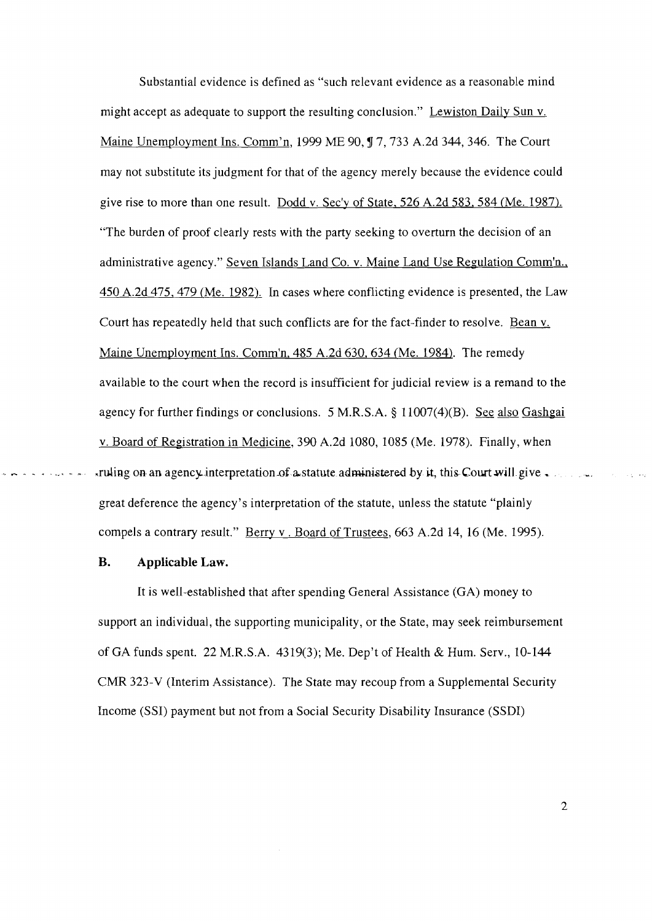Substantial evidence is defined as "such relevant evidence as a reasonable mind might accept as adequate to support the resulting conclusion." Lewiston Daily Sun v. Maine Unemployment Ins. Comm'n, 1999 ME 90, ¶ 7, 733 A.2d 344, 346. The Court may not substitute its judgment for that of the agency merely because the evidence could give rise to more than one result. Dodd v. Sec'y of State, 526 A.2d 583, 584 (Me. 1987). "The burden of proof clearly rests with the party seeking to overturn the decision of an administrative agency." Seven Islands Land Co. v. Maine Land Use Regulation Comm'n., 450 A.2d 475,479 (Me. 1982). In cases where conflicting evidence is presented, the Law Court has repeatedly held that such conflicts are for the fact-finder to resolve. Bean v. Maine Unemployment Ins. Comm'n, 485 A.2d 630.634 (Me. 1984). The remedy available to the court when the record is insufficient for judicial review is a remand to the agency for further findings or conclusions. 5 M.R.S.A. **3** 11007(4)(B). See also Gashgai v. Board of Registration in Medicine, 390 A.2d 1080, 1085 (Me. 1978). Finally, when . - - - . - - ,ruling on an agency interpretation-of astatute administered by **it,** thisCourtwil1 give . **-.**  great deference the agency's interpretation of the statute, unless the statute "plainly compels a contrary result." Berry v. Board of Trustees, 663 A.2d 14, 16 (Me. 1995).

## B. **Applicable Law.**

It is well-established that after spending General Assistance (GA) money to support an individual, the supporting municipality, or the State, may seek reimbursement of GA funds spent. 22 M.R.S.A. 4319(3); Me. Dep't of Health & Hum. Serv., 10-144 CMR 323-V (Interim Assistance). The State may recoup from a Supplemental Security Income (SSI) payment but not from a Social Security Disability Insurance (SSDI)

 $\overline{2}$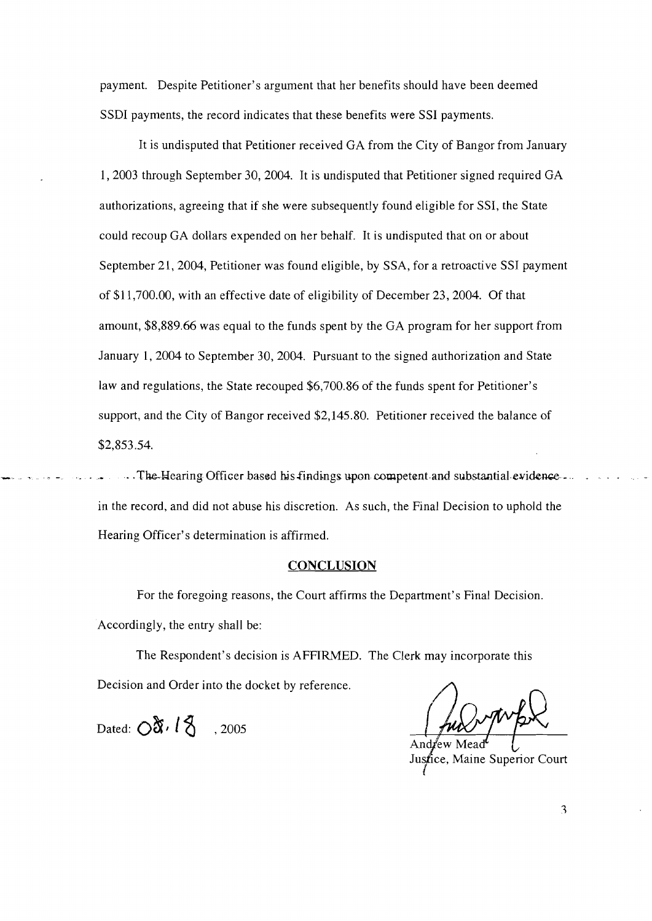payment. Despite Petitioner's argument that her benefits should have been deemed SSDI payments, the record indicates that these benefits were SSI payments.

It is undisputed that Petitioner received GA from the City of Bangor from January 1,2003 through September 30, 2004. It is undisputed that Petitioner signed required GA authorizations, agreeing that if she were subsequently found eligible for SSI, the State could recoup GA dollars expended on her behalf. It is undisputed that on or about September 21, 2004, Petitioner was found eligible, by SSA, for a retroactive SSI payment of \$1 1,700.00, with an effective date of eligibility of December 23,2004. Of that amount, \$8,889.66 was equal to the funds spent by the GA program for her support from January 1, 2004 to September 30, 2004. Pursuant to the signed authorization and State law and regulations, the State recouped \$6,700.86 of the funds spent for Petitioner's support, and the City of Bangor received \$2,145.80. Petitioner received the balance of \$2,853.54.

-The-Hearing Officer based his findings upon competent and substantial evidencein the record, and did not abuse his discretion. As such, the Final Decision to uphold the Hearing Officer's determination is affirmed.

## **CONCLUSION**

For the foregoing reasons, the Court affirms the Department's Final Decision. Accordingly, the entry shall be:

The Respondent's decision is AFFIRMED. The Clerk may incorporate this Decision and Order into the docket by reference.

Dated:  $\bigcirc \mathfrak{F} \cdot l \mathfrak{F}$  , 2005

Andrew Justice, Maine Superior Court